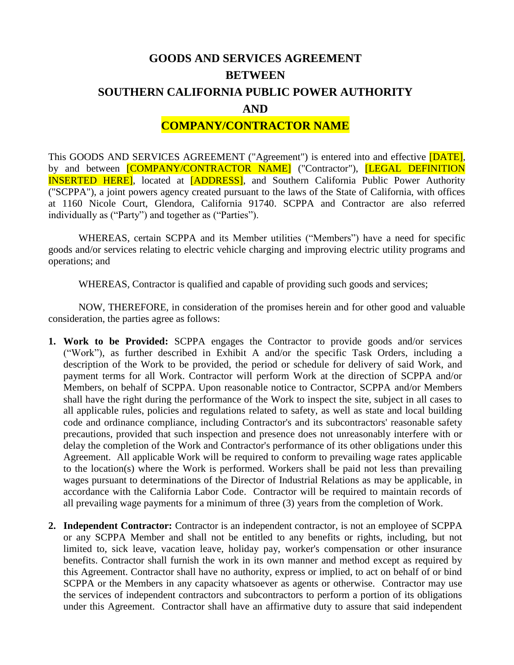# **GOODS AND SERVICES AGREEMENT BETWEEN SOUTHERN CALIFORNIA PUBLIC POWER AUTHORITY AND**

## **COMPANY/CONTRACTOR NAME**

This GOODS AND SERVICES AGREEMENT ("Agreement") is entered into and effective **[DATE]**, by and between **[COMPANY/CONTRACTOR NAME]** ("Contractor"), **[LEGAL DEFINITION** INSERTED HERE], located at [ADDRESS], and Southern California Public Power Authority ("SCPPA"), a joint powers agency created pursuant to the laws of the State of California, with offices at 1160 Nicole Court, Glendora, California 91740. SCPPA and Contractor are also referred individually as ("Party") and together as ("Parties").

WHEREAS, certain SCPPA and its Member utilities ("Members") have a need for specific goods and/or services relating to electric vehicle charging and improving electric utility programs and operations; and

WHEREAS, Contractor is qualified and capable of providing such goods and services;

NOW, THEREFORE, in consideration of the promises herein and for other good and valuable consideration, the parties agree as follows:

- **1. Work to be Provided:** SCPPA engages the Contractor to provide goods and/or services ("Work"), as further described in Exhibit A and/or the specific Task Orders, including a description of the Work to be provided, the period or schedule for delivery of said Work, and payment terms for all Work. Contractor will perform Work at the direction of SCPPA and/or Members, on behalf of SCPPA. Upon reasonable notice to Contractor, SCPPA and/or Members shall have the right during the performance of the Work to inspect the site, subject in all cases to all applicable rules, policies and regulations related to safety, as well as state and local building code and ordinance compliance, including Contractor's and its subcontractors' reasonable safety precautions, provided that such inspection and presence does not unreasonably interfere with or delay the completion of the Work and Contractor's performance of its other obligations under this Agreement. All applicable Work will be required to conform to prevailing wage rates applicable to the location(s) where the Work is performed. Workers shall be paid not less than prevailing wages pursuant to determinations of the Director of Industrial Relations as may be applicable, in accordance with the California Labor Code. Contractor will be required to maintain records of all prevailing wage payments for a minimum of three (3) years from the completion of Work.
- **2. Independent Contractor:** Contractor is an independent contractor, is not an employee of SCPPA or any SCPPA Member and shall not be entitled to any benefits or rights, including, but not limited to, sick leave, vacation leave, holiday pay, worker's compensation or other insurance benefits. Contractor shall furnish the work in its own manner and method except as required by this Agreement. Contractor shall have no authority, express or implied, to act on behalf of or bind SCPPA or the Members in any capacity whatsoever as agents or otherwise. Contractor may use the services of independent contractors and subcontractors to perform a portion of its obligations under this Agreement. Contractor shall have an affirmative duty to assure that said independent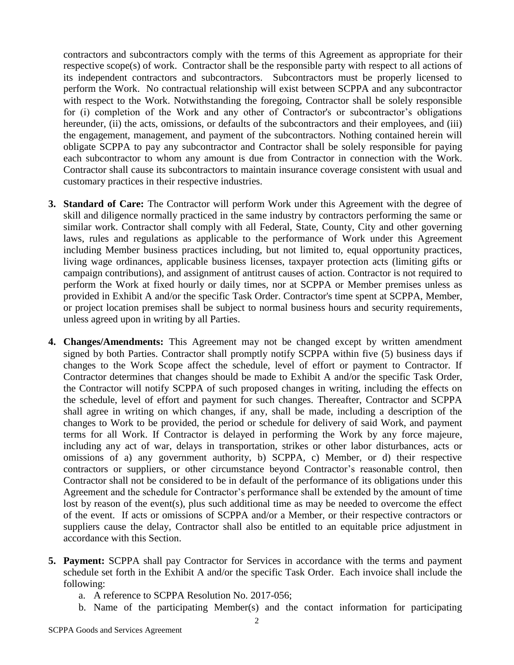contractors and subcontractors comply with the terms of this Agreement as appropriate for their respective scope(s) of work. Contractor shall be the responsible party with respect to all actions of its independent contractors and subcontractors. Subcontractors must be properly licensed to perform the Work. No contractual relationship will exist between SCPPA and any subcontractor with respect to the Work. Notwithstanding the foregoing, Contractor shall be solely responsible for (i) completion of the Work and any other of Contractor's or subcontractor's obligations hereunder, (ii) the acts, omissions, or defaults of the subcontractors and their employees, and (iii) the engagement, management, and payment of the subcontractors. Nothing contained herein will obligate SCPPA to pay any subcontractor and Contractor shall be solely responsible for paying each subcontractor to whom any amount is due from Contractor in connection with the Work. Contractor shall cause its subcontractors to maintain insurance coverage consistent with usual and customary practices in their respective industries.

- **3. Standard of Care:** The Contractor will perform Work under this Agreement with the degree of skill and diligence normally practiced in the same industry by contractors performing the same or similar work. Contractor shall comply with all Federal, State, County, City and other governing laws, rules and regulations as applicable to the performance of Work under this Agreement including Member business practices including, but not limited to, equal opportunity practices, living wage ordinances, applicable business licenses, taxpayer protection acts (limiting gifts or campaign contributions), and assignment of antitrust causes of action. Contractor is not required to perform the Work at fixed hourly or daily times, nor at SCPPA or Member premises unless as provided in Exhibit A and/or the specific Task Order. Contractor's time spent at SCPPA, Member, or project location premises shall be subject to normal business hours and security requirements, unless agreed upon in writing by all Parties.
- **4. Changes/Amendments:** This Agreement may not be changed except by written amendment signed by both Parties. Contractor shall promptly notify SCPPA within five (5) business days if changes to the Work Scope affect the schedule, level of effort or payment to Contractor. If Contractor determines that changes should be made to Exhibit A and/or the specific Task Order, the Contractor will notify SCPPA of such proposed changes in writing, including the effects on the schedule, level of effort and payment for such changes. Thereafter, Contractor and SCPPA shall agree in writing on which changes, if any, shall be made, including a description of the changes to Work to be provided, the period or schedule for delivery of said Work, and payment terms for all Work. If Contractor is delayed in performing the Work by any force majeure, including any act of war, delays in transportation, strikes or other labor disturbances, acts or omissions of a) any government authority, b) SCPPA, c) Member, or d) their respective contractors or suppliers, or other circumstance beyond Contractor's reasonable control, then Contractor shall not be considered to be in default of the performance of its obligations under this Agreement and the schedule for Contractor's performance shall be extended by the amount of time lost by reason of the event(s), plus such additional time as may be needed to overcome the effect of the event. If acts or omissions of SCPPA and/or a Member, or their respective contractors or suppliers cause the delay, Contractor shall also be entitled to an equitable price adjustment in accordance with this Section.
- **5. Payment:** SCPPA shall pay Contractor for Services in accordance with the terms and payment schedule set forth in the Exhibit A and/or the specific Task Order. Each invoice shall include the following:
	- a. A reference to SCPPA Resolution No. 2017-056;
	- b. Name of the participating Member(s) and the contact information for participating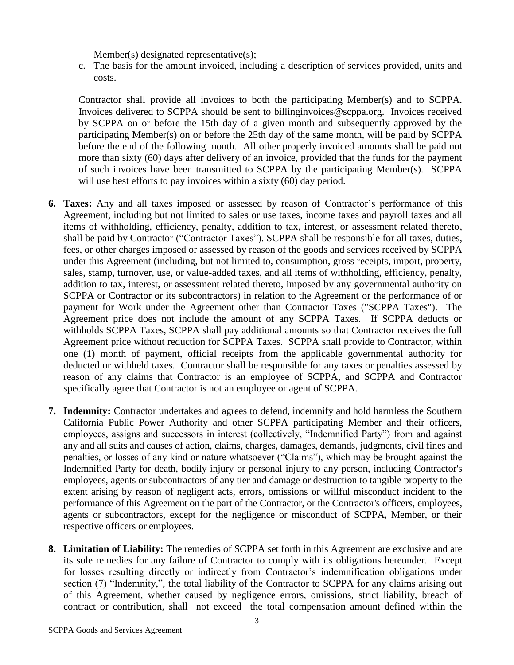Member(s) designated representative(s);

c. The basis for the amount invoiced, including a description of services provided, units and costs.

Contractor shall provide all invoices to both the participating Member(s) and to SCPPA. Invoices delivered to SCPPA should be sent to billinginvoices@scppa.org. Invoices received by SCPPA on or before the 15th day of a given month and subsequently approved by the participating Member(s) on or before the 25th day of the same month, will be paid by SCPPA before the end of the following month. All other properly invoiced amounts shall be paid not more than sixty (60) days after delivery of an invoice, provided that the funds for the payment of such invoices have been transmitted to SCPPA by the participating Member(s). SCPPA will use best efforts to pay invoices within a sixty (60) day period.

- **6. Taxes:** Any and all taxes imposed or assessed by reason of Contractor's performance of this Agreement, including but not limited to sales or use taxes, income taxes and payroll taxes and all items of withholding, efficiency, penalty, addition to tax, interest, or assessment related thereto, shall be paid by Contractor ("Contractor Taxes"). SCPPA shall be responsible for all taxes, duties, fees, or other charges imposed or assessed by reason of the goods and services received by SCPPA under this Agreement (including, but not limited to, consumption, gross receipts, import, property, sales, stamp, turnover, use, or value-added taxes, and all items of withholding, efficiency, penalty, addition to tax, interest, or assessment related thereto, imposed by any governmental authority on SCPPA or Contractor or its subcontractors) in relation to the Agreement or the performance of or payment for Work under the Agreement other than Contractor Taxes ("SCPPA Taxes"). The Agreement price does not include the amount of any SCPPA Taxes. If SCPPA deducts or withholds SCPPA Taxes, SCPPA shall pay additional amounts so that Contractor receives the full Agreement price without reduction for SCPPA Taxes. SCPPA shall provide to Contractor, within one (1) month of payment, official receipts from the applicable governmental authority for deducted or withheld taxes. Contractor shall be responsible for any taxes or penalties assessed by reason of any claims that Contractor is an employee of SCPPA, and SCPPA and Contractor specifically agree that Contractor is not an employee or agent of SCPPA.
- **7. Indemnity:** Contractor undertakes and agrees to defend, indemnify and hold harmless the Southern California Public Power Authority and other SCPPA participating Member and their officers, employees, assigns and successors in interest (collectively, "Indemnified Party") from and against any and all suits and causes of action, claims, charges, damages, demands, judgments, civil fines and penalties, or losses of any kind or nature whatsoever ("Claims"), which may be brought against the Indemnified Party for death, bodily injury or personal injury to any person, including Contractor's employees, agents or subcontractors of any tier and damage or destruction to tangible property to the extent arising by reason of negligent acts, errors, omissions or willful misconduct incident to the performance of this Agreement on the part of the Contractor, or the Contractor's officers, employees, agents or subcontractors, except for the negligence or misconduct of SCPPA, Member, or their respective officers or employees.
- **8. Limitation of Liability:** The remedies of SCPPA set forth in this Agreement are exclusive and are its sole remedies for any failure of Contractor to comply with its obligations hereunder. Except for losses resulting directly or indirectly from Contractor's indemnification obligations under section (7) "Indemnity,", the total liability of the Contractor to SCPPA for any claims arising out of this Agreement, whether caused by negligence errors, omissions, strict liability, breach of contract or contribution, shall not exceed the total compensation amount defined within the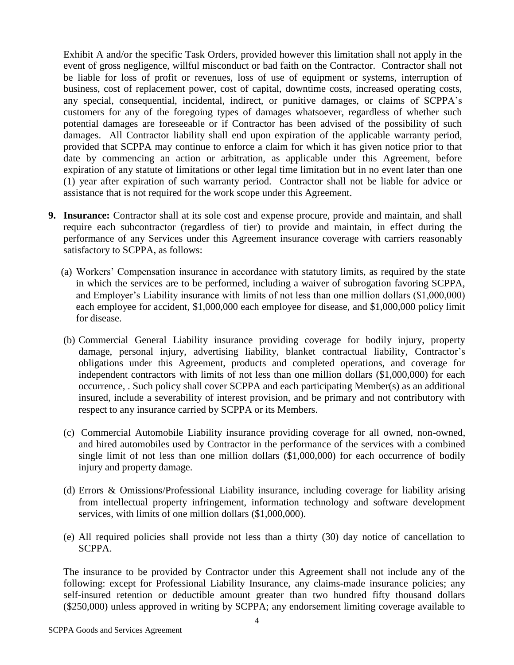Exhibit A and/or the specific Task Orders, provided however this limitation shall not apply in the event of gross negligence, willful misconduct or bad faith on the Contractor. Contractor shall not be liable for loss of profit or revenues, loss of use of equipment or systems, interruption of business, cost of replacement power, cost of capital, downtime costs, increased operating costs, any special, consequential, incidental, indirect, or punitive damages, or claims of SCPPA's customers for any of the foregoing types of damages whatsoever, regardless of whether such potential damages are foreseeable or if Contractor has been advised of the possibility of such damages. All Contractor liability shall end upon expiration of the applicable warranty period, provided that SCPPA may continue to enforce a claim for which it has given notice prior to that date by commencing an action or arbitration, as applicable under this Agreement, before expiration of any statute of limitations or other legal time limitation but in no event later than one (1) year after expiration of such warranty period. Contractor shall not be liable for advice or assistance that is not required for the work scope under this Agreement.

- **9. Insurance:** Contractor shall at its sole cost and expense procure, provide and maintain, and shall require each subcontractor (regardless of tier) to provide and maintain, in effect during the performance of any Services under this Agreement insurance coverage with carriers reasonably satisfactory to SCPPA, as follows:
	- (a) Workers' Compensation insurance in accordance with statutory limits, as required by the state in which the services are to be performed, including a waiver of subrogation favoring SCPPA, and Employer's Liability insurance with limits of not less than one million dollars (\$1,000,000) each employee for accident, \$1,000,000 each employee for disease, and \$1,000,000 policy limit for disease.
	- (b) Commercial General Liability insurance providing coverage for bodily injury, property damage, personal injury, advertising liability, blanket contractual liability, Contractor's obligations under this Agreement, products and completed operations, and coverage for independent contractors with limits of not less than one million dollars (\$1,000,000) for each occurrence, . Such policy shall cover SCPPA and each participating Member(s) as an additional insured, include a severability of interest provision, and be primary and not contributory with respect to any insurance carried by SCPPA or its Members.
	- (c) Commercial Automobile Liability insurance providing coverage for all owned, non-owned, and hired automobiles used by Contractor in the performance of the services with a combined single limit of not less than one million dollars (\$1,000,000) for each occurrence of bodily injury and property damage.
	- (d) Errors & Omissions/Professional Liability insurance, including coverage for liability arising from intellectual property infringement, information technology and software development services, with limits of one million dollars (\$1,000,000).
	- (e) All required policies shall provide not less than a thirty (30) day notice of cancellation to SCPPA.

The insurance to be provided by Contractor under this Agreement shall not include any of the following: except for Professional Liability Insurance, any claims-made insurance policies; any self-insured retention or deductible amount greater than two hundred fifty thousand dollars (\$250,000) unless approved in writing by SCPPA; any endorsement limiting coverage available to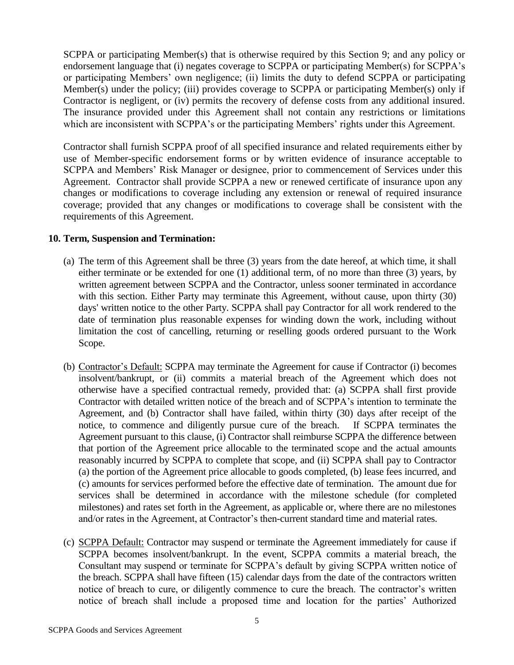SCPPA or participating Member(s) that is otherwise required by this Section 9; and any policy or endorsement language that (i) negates coverage to SCPPA or participating Member(s) for SCPPA's or participating Members' own negligence; (ii) limits the duty to defend SCPPA or participating Member(s) under the policy; (iii) provides coverage to SCPPA or participating Member(s) only if Contractor is negligent, or (iv) permits the recovery of defense costs from any additional insured. The insurance provided under this Agreement shall not contain any restrictions or limitations which are inconsistent with SCPPA's or the participating Members' rights under this Agreement.

Contractor shall furnish SCPPA proof of all specified insurance and related requirements either by use of Member-specific endorsement forms or by written evidence of insurance acceptable to SCPPA and Members' Risk Manager or designee, prior to commencement of Services under this Agreement. Contractor shall provide SCPPA a new or renewed certificate of insurance upon any changes or modifications to coverage including any extension or renewal of required insurance coverage; provided that any changes or modifications to coverage shall be consistent with the requirements of this Agreement.

#### **10. Term, Suspension and Termination:**

- (a) The term of this Agreement shall be three (3) years from the date hereof, at which time, it shall either terminate or be extended for one (1) additional term, of no more than three (3) years, by written agreement between SCPPA and the Contractor, unless sooner terminated in accordance with this section. Either Party may terminate this Agreement, without cause, upon thirty (30) days' written notice to the other Party. SCPPA shall pay Contractor for all work rendered to the date of termination plus reasonable expenses for winding down the work, including without limitation the cost of cancelling, returning or reselling goods ordered pursuant to the Work Scope.
- (b) Contractor's Default: SCPPA may terminate the Agreement for cause if Contractor (i) becomes insolvent/bankrupt, or (ii) commits a material breach of the Agreement which does not otherwise have a specified contractual remedy, provided that: (a) SCPPA shall first provide Contractor with detailed written notice of the breach and of SCPPA's intention to terminate the Agreement, and (b) Contractor shall have failed, within thirty (30) days after receipt of the notice, to commence and diligently pursue cure of the breach. If SCPPA terminates the Agreement pursuant to this clause, (i) Contractor shall reimburse SCPPA the difference between that portion of the Agreement price allocable to the terminated scope and the actual amounts reasonably incurred by SCPPA to complete that scope, and (ii) SCPPA shall pay to Contractor (a) the portion of the Agreement price allocable to goods completed, (b) lease fees incurred, and (c) amounts for services performed before the effective date of termination. The amount due for services shall be determined in accordance with the milestone schedule (for completed milestones) and rates set forth in the Agreement, as applicable or, where there are no milestones and/or rates in the Agreement, at Contractor's then-current standard time and material rates.
- (c) SCPPA Default: Contractor may suspend or terminate the Agreement immediately for cause if SCPPA becomes insolvent/bankrupt. In the event, SCPPA commits a material breach, the Consultant may suspend or terminate for SCPPA's default by giving SCPPA written notice of the breach. SCPPA shall have fifteen (15) calendar days from the date of the contractors written notice of breach to cure, or diligently commence to cure the breach. The contractor's written notice of breach shall include a proposed time and location for the parties' Authorized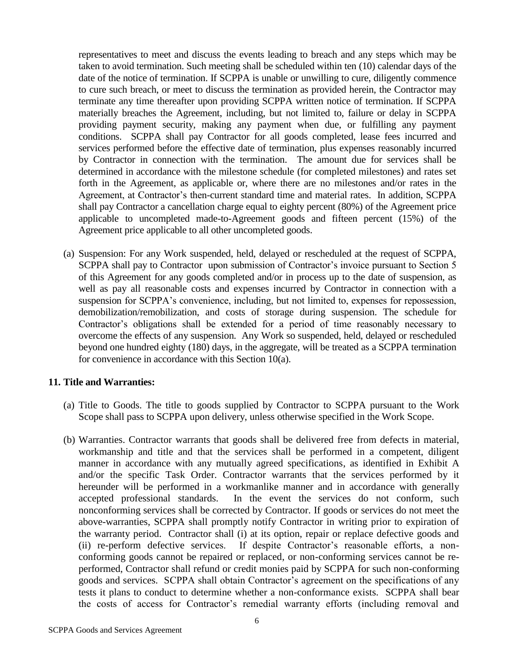representatives to meet and discuss the events leading to breach and any steps which may be taken to avoid termination. Such meeting shall be scheduled within ten (10) calendar days of the date of the notice of termination. If SCPPA is unable or unwilling to cure, diligently commence to cure such breach, or meet to discuss the termination as provided herein, the Contractor may terminate any time thereafter upon providing SCPPA written notice of termination. If SCPPA materially breaches the Agreement, including, but not limited to, failure or delay in SCPPA providing payment security, making any payment when due, or fulfilling any payment conditions. SCPPA shall pay Contractor for all goods completed, lease fees incurred and services performed before the effective date of termination, plus expenses reasonably incurred by Contractor in connection with the termination. The amount due for services shall be determined in accordance with the milestone schedule (for completed milestones) and rates set forth in the Agreement, as applicable or, where there are no milestones and/or rates in the Agreement, at Contractor's then-current standard time and material rates. In addition, SCPPA shall pay Contractor a cancellation charge equal to eighty percent (80%) of the Agreement price applicable to uncompleted made-to-Agreement goods and fifteen percent (15%) of the Agreement price applicable to all other uncompleted goods.

(a) Suspension: For any Work suspended, held, delayed or rescheduled at the request of SCPPA, SCPPA shall pay to Contractor upon submission of Contractor's invoice pursuant to Section 5 of this Agreement for any goods completed and/or in process up to the date of suspension, as well as pay all reasonable costs and expenses incurred by Contractor in connection with a suspension for SCPPA's convenience, including, but not limited to, expenses for repossession, demobilization/remobilization, and costs of storage during suspension. The schedule for Contractor's obligations shall be extended for a period of time reasonably necessary to overcome the effects of any suspension. Any Work so suspended, held, delayed or rescheduled beyond one hundred eighty (180) days, in the aggregate, will be treated as a SCPPA termination for convenience in accordance with this Section 10(a).

#### **11. Title and Warranties:**

- (a) Title to Goods. The title to goods supplied by Contractor to SCPPA pursuant to the Work Scope shall pass to SCPPA upon delivery, unless otherwise specified in the Work Scope.
- (b) Warranties. Contractor warrants that goods shall be delivered free from defects in material, workmanship and title and that the services shall be performed in a competent, diligent manner in accordance with any mutually agreed specifications, as identified in Exhibit A and/or the specific Task Order. Contractor warrants that the services performed by it hereunder will be performed in a workmanlike manner and in accordance with generally accepted professional standards. In the event the services do not conform, such nonconforming services shall be corrected by Contractor. If goods or services do not meet the above-warranties, SCPPA shall promptly notify Contractor in writing prior to expiration of the warranty period. Contractor shall (i) at its option, repair or replace defective goods and (ii) re-perform defective services. If despite Contractor's reasonable efforts, a nonconforming goods cannot be repaired or replaced, or non-conforming services cannot be reperformed, Contractor shall refund or credit monies paid by SCPPA for such non-conforming goods and services. SCPPA shall obtain Contractor's agreement on the specifications of any tests it plans to conduct to determine whether a non-conformance exists. SCPPA shall bear the costs of access for Contractor's remedial warranty efforts (including removal and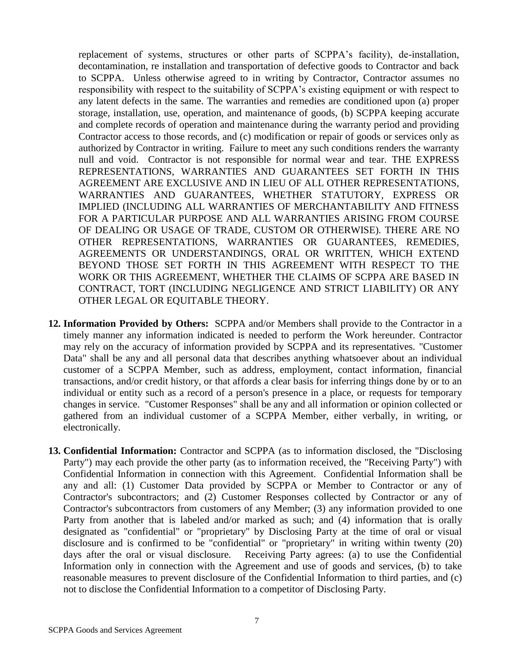replacement of systems, structures or other parts of SCPPA's facility), de-installation, decontamination, re installation and transportation of defective goods to Contractor and back to SCPPA. Unless otherwise agreed to in writing by Contractor, Contractor assumes no responsibility with respect to the suitability of SCPPA's existing equipment or with respect to any latent defects in the same. The warranties and remedies are conditioned upon (a) proper storage, installation, use, operation, and maintenance of goods, (b) SCPPA keeping accurate and complete records of operation and maintenance during the warranty period and providing Contractor access to those records, and (c) modification or repair of goods or services only as authorized by Contractor in writing. Failure to meet any such conditions renders the warranty null and void. Contractor is not responsible for normal wear and tear. THE EXPRESS REPRESENTATIONS, WARRANTIES AND GUARANTEES SET FORTH IN THIS AGREEMENT ARE EXCLUSIVE AND IN LIEU OF ALL OTHER REPRESENTATIONS, WARRANTIES AND GUARANTEES, WHETHER STATUTORY, EXPRESS OR IMPLIED (INCLUDING ALL WARRANTIES OF MERCHANTABILITY AND FITNESS FOR A PARTICULAR PURPOSE AND ALL WARRANTIES ARISING FROM COURSE OF DEALING OR USAGE OF TRADE, CUSTOM OR OTHERWISE). THERE ARE NO OTHER REPRESENTATIONS, WARRANTIES OR GUARANTEES, REMEDIES, AGREEMENTS OR UNDERSTANDINGS, ORAL OR WRITTEN, WHICH EXTEND BEYOND THOSE SET FORTH IN THIS AGREEMENT WITH RESPECT TO THE WORK OR THIS AGREEMENT, WHETHER THE CLAIMS OF SCPPA ARE BASED IN CONTRACT, TORT (INCLUDING NEGLIGENCE AND STRICT LIABILITY) OR ANY OTHER LEGAL OR EQUITABLE THEORY.

- **12. Information Provided by Others:** SCPPA and/or Members shall provide to the Contractor in a timely manner any information indicated is needed to perform the Work hereunder. Contractor may rely on the accuracy of information provided by SCPPA and its representatives. "Customer Data" shall be any and all personal data that describes anything whatsoever about an individual customer of a SCPPA Member, such as address, employment, contact information, financial transactions, and/or credit history, or that affords a clear basis for inferring things done by or to an individual or entity such as a record of a person's presence in a place, or requests for temporary changes in service. "Customer Responses" shall be any and all information or opinion collected or gathered from an individual customer of a SCPPA Member, either verbally, in writing, or electronically.
- **13. Confidential Information:** Contractor and SCPPA (as to information disclosed, the "Disclosing Party") may each provide the other party (as to information received, the "Receiving Party") with Confidential Information in connection with this Agreement. Confidential Information shall be any and all: (1) Customer Data provided by SCPPA or Member to Contractor or any of Contractor's subcontractors; and (2) Customer Responses collected by Contractor or any of Contractor's subcontractors from customers of any Member; (3) any information provided to one Party from another that is labeled and/or marked as such; and (4) information that is orally designated as "confidential" or "proprietary" by Disclosing Party at the time of oral or visual disclosure and is confirmed to be "confidential" or "proprietary" in writing within twenty (20) days after the oral or visual disclosure. Receiving Party agrees: (a) to use the Confidential Information only in connection with the Agreement and use of goods and services, (b) to take reasonable measures to prevent disclosure of the Confidential Information to third parties, and (c) not to disclose the Confidential Information to a competitor of Disclosing Party.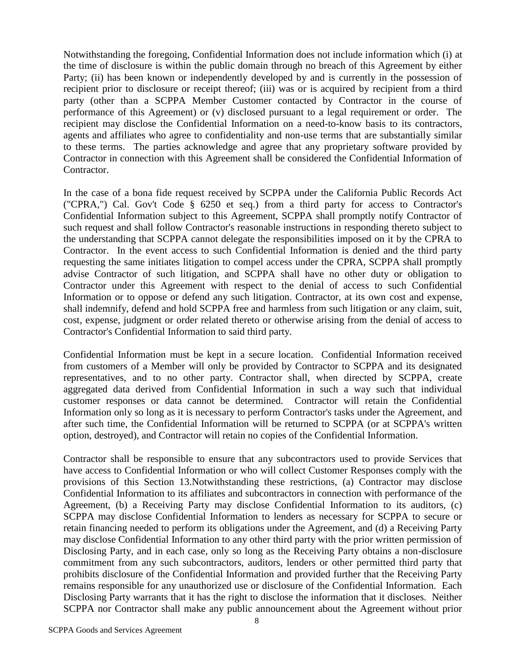Notwithstanding the foregoing, Confidential Information does not include information which (i) at the time of disclosure is within the public domain through no breach of this Agreement by either Party; (ii) has been known or independently developed by and is currently in the possession of recipient prior to disclosure or receipt thereof; (iii) was or is acquired by recipient from a third party (other than a SCPPA Member Customer contacted by Contractor in the course of performance of this Agreement) or (v) disclosed pursuant to a legal requirement or order. The recipient may disclose the Confidential Information on a need-to-know basis to its contractors, agents and affiliates who agree to confidentiality and non-use terms that are substantially similar to these terms. The parties acknowledge and agree that any proprietary software provided by Contractor in connection with this Agreement shall be considered the Confidential Information of Contractor.

In the case of a bona fide request received by SCPPA under the California Public Records Act ("CPRA,") Cal. Gov't Code § 6250 et seq.) from a third party for access to Contractor's Confidential Information subject to this Agreement, SCPPA shall promptly notify Contractor of such request and shall follow Contractor's reasonable instructions in responding thereto subject to the understanding that SCPPA cannot delegate the responsibilities imposed on it by the CPRA to Contractor. In the event access to such Confidential Information is denied and the third party requesting the same initiates litigation to compel access under the CPRA, SCPPA shall promptly advise Contractor of such litigation, and SCPPA shall have no other duty or obligation to Contractor under this Agreement with respect to the denial of access to such Confidential Information or to oppose or defend any such litigation. Contractor, at its own cost and expense, shall indemnify, defend and hold SCPPA free and harmless from such litigation or any claim, suit, cost, expense, judgment or order related thereto or otherwise arising from the denial of access to Contractor's Confidential Information to said third party.

Confidential Information must be kept in a secure location. Confidential Information received from customers of a Member will only be provided by Contractor to SCPPA and its designated representatives, and to no other party. Contractor shall, when directed by SCPPA, create aggregated data derived from Confidential Information in such a way such that individual customer responses or data cannot be determined. Contractor will retain the Confidential Information only so long as it is necessary to perform Contractor's tasks under the Agreement, and after such time, the Confidential Information will be returned to SCPPA (or at SCPPA's written option, destroyed), and Contractor will retain no copies of the Confidential Information.

Contractor shall be responsible to ensure that any subcontractors used to provide Services that have access to Confidential Information or who will collect Customer Responses comply with the provisions of this Section 13.Notwithstanding these restrictions, (a) Contractor may disclose Confidential Information to its affiliates and subcontractors in connection with performance of the Agreement, (b) a Receiving Party may disclose Confidential Information to its auditors, (c) SCPPA may disclose Confidential Information to lenders as necessary for SCPPA to secure or retain financing needed to perform its obligations under the Agreement, and (d) a Receiving Party may disclose Confidential Information to any other third party with the prior written permission of Disclosing Party, and in each case, only so long as the Receiving Party obtains a non-disclosure commitment from any such subcontractors, auditors, lenders or other permitted third party that prohibits disclosure of the Confidential Information and provided further that the Receiving Party remains responsible for any unauthorized use or disclosure of the Confidential Information. Each Disclosing Party warrants that it has the right to disclose the information that it discloses. Neither SCPPA nor Contractor shall make any public announcement about the Agreement without prior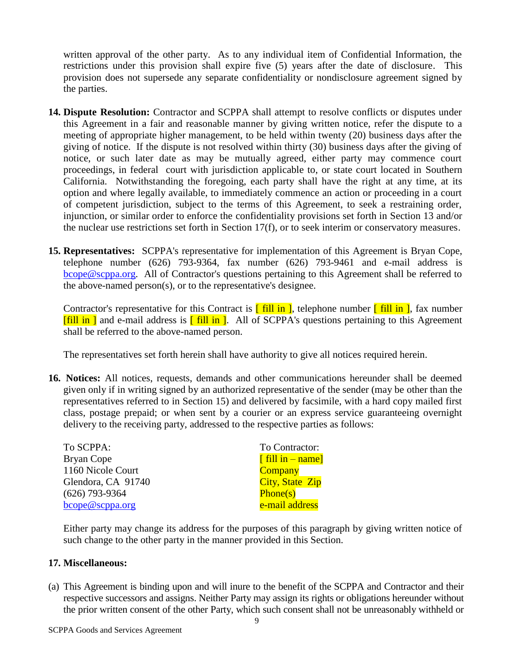written approval of the other party. As to any individual item of Confidential Information, the restrictions under this provision shall expire five (5) years after the date of disclosure. This provision does not supersede any separate confidentiality or nondisclosure agreement signed by the parties.

- **14. Dispute Resolution:** Contractor and SCPPA shall attempt to resolve conflicts or disputes under this Agreement in a fair and reasonable manner by giving written notice, refer the dispute to a meeting of appropriate higher management, to be held within twenty (20) business days after the giving of notice. If the dispute is not resolved within thirty (30) business days after the giving of notice, or such later date as may be mutually agreed, either party may commence court proceedings, in federal court with jurisdiction applicable to, or state court located in Southern California. Notwithstanding the foregoing, each party shall have the right at any time, at its option and where legally available, to immediately commence an action or proceeding in a court of competent jurisdiction, subject to the terms of this Agreement, to seek a restraining order, injunction, or similar order to enforce the confidentiality provisions set forth in Section 13 and/or the nuclear use restrictions set forth in Section 17(f), or to seek interim or conservatory measures.
- **15. Representatives:** SCPPA's representative for implementation of this Agreement is Bryan Cope, telephone number (626) 793-9364, fax number (626) 793-9461 and e-mail address is bcope@scppa.org. All of Contractor's questions pertaining to this Agreement shall be referred to the above-named person(s), or to the representative's designee.

Contractor's representative for this Contract is  $\int$  fill in  $\vert$ , telephone number  $\int$  fill in  $\vert$ , fax number  $[\text{fill in }]$  and e-mail address is  $[\text{fill in }]$ . All of SCPPA's questions pertaining to this Agreement shall be referred to the above-named person.

The representatives set forth herein shall have authority to give all notices required herein.

**16. Notices:** All notices, requests, demands and other communications hereunder shall be deemed given only if in writing signed by an authorized representative of the sender (may be other than the representatives referred to in Section 15) and delivered by facsimile, with a hard copy mailed first class, postage prepaid; or when sent by a courier or an express service guaranteeing overnight delivery to the receiving party, addressed to the respective parties as follows:

| To SCPPA:          | To Contractor:         |
|--------------------|------------------------|
| <b>Bryan Cope</b>  | [fill in $-$ name]     |
| 1160 Nicole Court  | <b>Company</b>         |
| Glendora, CA 91740 | <b>City, State Zip</b> |
| $(626)$ 793-9364   | Phone(s)               |
| bcope@scppa.org    | e-mail address         |

Either party may change its address for the purposes of this paragraph by giving written notice of such change to the other party in the manner provided in this Section.

#### **17. Miscellaneous:**

(a) This Agreement is binding upon and will inure to the benefit of the SCPPA and Contractor and their respective successors and assigns. Neither Party may assign its rights or obligations hereunder without the prior written consent of the other Party, which such consent shall not be unreasonably withheld or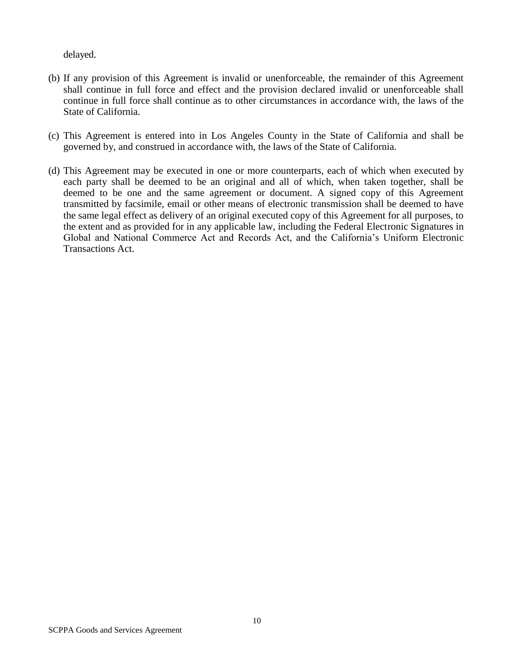delayed.

- (b) If any provision of this Agreement is invalid or unenforceable, the remainder of this Agreement shall continue in full force and effect and the provision declared invalid or unenforceable shall continue in full force shall continue as to other circumstances in accordance with, the laws of the State of California.
- (c) This Agreement is entered into in Los Angeles County in the State of California and shall be governed by, and construed in accordance with, the laws of the State of California.
- (d) This Agreement may be executed in one or more counterparts, each of which when executed by each party shall be deemed to be an original and all of which, when taken together, shall be deemed to be one and the same agreement or document. A signed copy of this Agreement transmitted by facsimile, email or other means of electronic transmission shall be deemed to have the same legal effect as delivery of an original executed copy of this Agreement for all purposes, to the extent and as provided for in any applicable law, including the Federal Electronic Signatures in Global and National Commerce Act and Records Act, and the California's Uniform Electronic Transactions Act.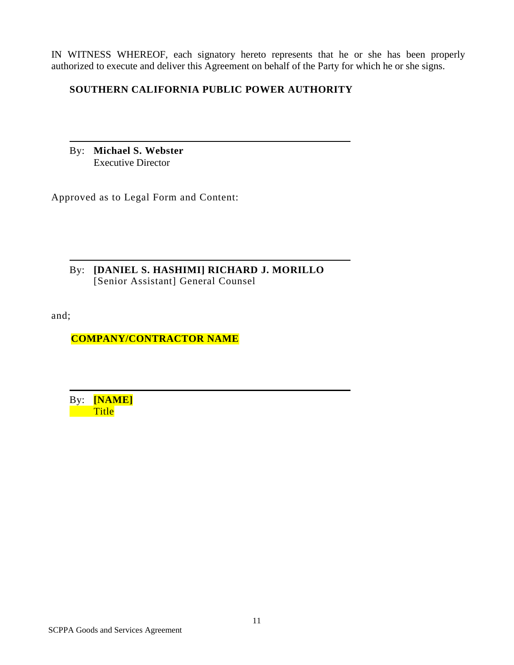IN WITNESS WHEREOF, each signatory hereto represents that he or she has been properly authorized to execute and deliver this Agreement on behalf of the Party for which he or she signs.

### **SOUTHERN CALIFORNIA PUBLIC POWER AUTHORITY**

By: **Michael S. Webster** Executive Director

Approved as to Legal Form and Content:

By: **[DANIEL S. HASHIMI] RICHARD J. MORILLO** [Senior Assistant] General Counsel

and;

**COMPANY/CONTRACTOR NAME**

By: **[NAME] Title**